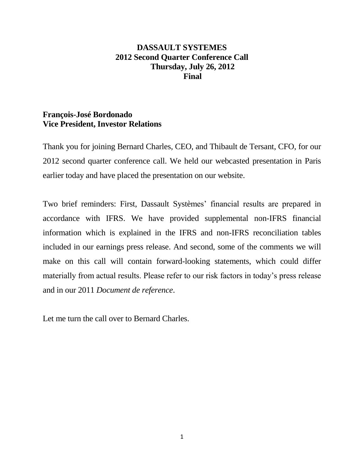# **DASSAULT SYSTEMES 2012 Second Quarter Conference Call Thursday, July 26, 2012 Final**

## **François-José Bordonado Vice President, Investor Relations**

Thank you for joining Bernard Charles, CEO, and Thibault de Tersant, CFO, for our 2012 second quarter conference call. We held our webcasted presentation in Paris earlier today and have placed the presentation on our website.

Two brief reminders: First, Dassault Systèmes' financial results are prepared in accordance with IFRS. We have provided supplemental non-IFRS financial information which is explained in the IFRS and non-IFRS reconciliation tables included in our earnings press release. And second, some of the comments we will make on this call will contain forward-looking statements, which could differ materially from actual results. Please refer to our risk factors in today's press release and in our 2011 *Document de reference*.

Let me turn the call over to Bernard Charles.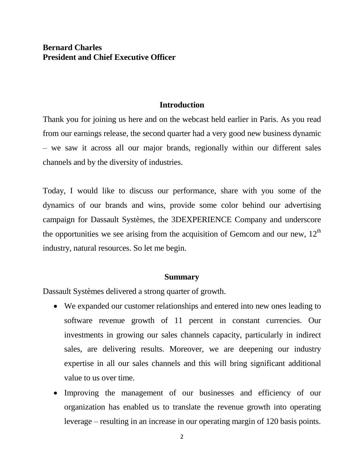# **Bernard Charles President and Chief Executive Officer**

#### **Introduction**

Thank you for joining us here and on the webcast held earlier in Paris. As you read from our earnings release, the second quarter had a very good new business dynamic – we saw it across all our major brands, regionally within our different sales channels and by the diversity of industries.

Today, I would like to discuss our performance, share with you some of the dynamics of our brands and wins, provide some color behind our advertising campaign for Dassault Systèmes, the 3DEXPERIENCE Company and underscore the opportunities we see arising from the acquisition of Gemcom and our new,  $12<sup>th</sup>$ industry, natural resources. So let me begin.

#### **Summary**

Dassault Systèmes delivered a strong quarter of growth.

- We expanded our customer relationships and entered into new ones leading to software revenue growth of 11 percent in constant currencies. Our investments in growing our sales channels capacity, particularly in indirect sales, are delivering results. Moreover, we are deepening our industry expertise in all our sales channels and this will bring significant additional value to us over time.
- Improving the management of our businesses and efficiency of our organization has enabled us to translate the revenue growth into operating leverage – resulting in an increase in our operating margin of 120 basis points.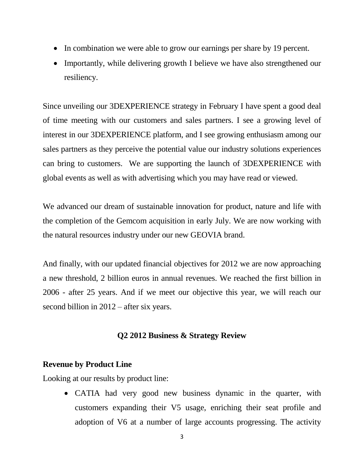- In combination we were able to grow our earnings per share by 19 percent.
- Importantly, while delivering growth I believe we have also strengthened our resiliency.

Since unveiling our 3DEXPERIENCE strategy in February I have spent a good deal of time meeting with our customers and sales partners. I see a growing level of interest in our 3DEXPERIENCE platform, and I see growing enthusiasm among our sales partners as they perceive the potential value our industry solutions experiences can bring to customers. We are supporting the launch of 3DEXPERIENCE with global events as well as with advertising which you may have read or viewed.

We advanced our dream of sustainable innovation for product, nature and life with the completion of the Gemcom acquisition in early July. We are now working with the natural resources industry under our new GEOVIA brand.

And finally, with our updated financial objectives for 2012 we are now approaching a new threshold, 2 billion euros in annual revenues. We reached the first billion in 2006 - after 25 years. And if we meet our objective this year, we will reach our second billion in 2012 – after six years.

## **Q2 2012 Business & Strategy Review**

## **Revenue by Product Line**

Looking at our results by product line:

 CATIA had very good new business dynamic in the quarter, with customers expanding their V5 usage, enriching their seat profile and adoption of V6 at a number of large accounts progressing. The activity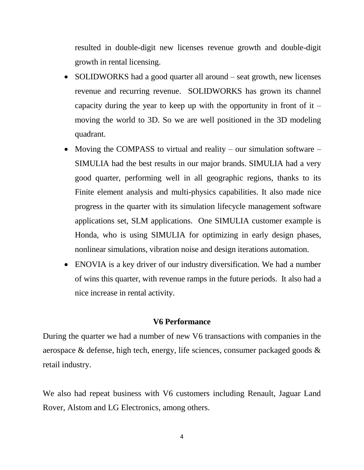resulted in double-digit new licenses revenue growth and double-digit growth in rental licensing.

- SOLIDWORKS had a good quarter all around seat growth, new licenses revenue and recurring revenue. SOLIDWORKS has grown its channel capacity during the year to keep up with the opportunity in front of it  $$ moving the world to 3D. So we are well positioned in the 3D modeling quadrant.
- Moving the COMPASS to virtual and reality our simulation software SIMULIA had the best results in our major brands. SIMULIA had a very good quarter, performing well in all geographic regions, thanks to its Finite element analysis and multi-physics capabilities. It also made nice progress in the quarter with its simulation lifecycle management software applications set, SLM applications. One SIMULIA customer example is Honda, who is using SIMULIA for optimizing in early design phases, nonlinear simulations, vibration noise and design iterations automation.
- ENOVIA is a key driver of our industry diversification. We had a number of wins this quarter, with revenue ramps in the future periods. It also had a nice increase in rental activity.

#### **V6 Performance**

During the quarter we had a number of new V6 transactions with companies in the aerospace & defense, high tech, energy, life sciences, consumer packaged goods & retail industry.

We also had repeat business with V6 customers including Renault, Jaguar Land Rover, Alstom and LG Electronics, among others.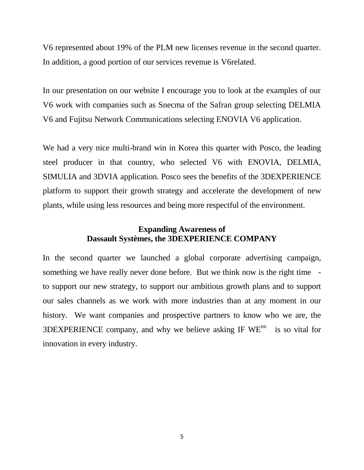V6 represented about 19% of the PLM new licenses revenue in the second quarter. In addition, a good portion of our services revenue is V6related.

In our presentation on our website I encourage you to look at the examples of our V6 work with companies such as Snecma of the Safran group selecting DELMIA V6 and Fujitsu Network Communications selecting ENOVIA V6 application.

We had a very nice multi-brand win in Korea this quarter with Posco, the leading steel producer in that country, who selected V6 with ENOVIA, DELMIA, SIMULIA and 3DVIA application. Posco sees the benefits of the 3DEXPERIENCE platform to support their growth strategy and accelerate the development of new plants, while using less resources and being more respectful of the environment.

# **Expanding Awareness of Dassault Systèmes, the 3DEXPERIENCE COMPANY**

In the second quarter we launched a global corporate advertising campaign, something we have really never done before. But we think now is the right time to support our new strategy, to support our ambitious growth plans and to support our sales channels as we work with more industries than at any moment in our history. We want companies and prospective partners to know who we are, the 3DEXPERIENCE company, and why we believe asking IF  $WE^{tm}$  is so vital for innovation in every industry.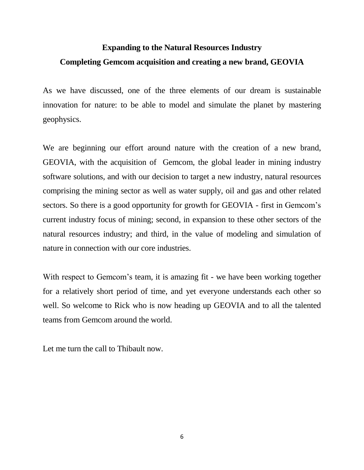# **Expanding to the Natural Resources Industry Completing Gemcom acquisition and creating a new brand, GEOVIA**

As we have discussed, one of the three elements of our dream is sustainable innovation for nature: to be able to model and simulate the planet by mastering geophysics.

We are beginning our effort around nature with the creation of a new brand, GEOVIA, with the acquisition of Gemcom, the global leader in mining industry software solutions, and with our decision to target a new industry, natural resources comprising the mining sector as well as water supply, oil and gas and other related sectors. So there is a good opportunity for growth for GEOVIA - first in Gemcom's current industry focus of mining; second, in expansion to these other sectors of the natural resources industry; and third, in the value of modeling and simulation of nature in connection with our core industries.

With respect to Gemcom's team, it is amazing fit - we have been working together for a relatively short period of time, and yet everyone understands each other so well. So welcome to Rick who is now heading up GEOVIA and to all the talented teams from Gemcom around the world.

Let me turn the call to Thibault now.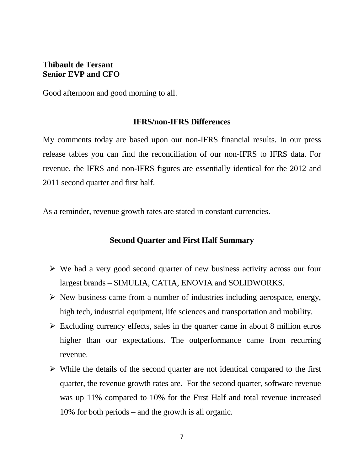## **Thibault de Tersant Senior EVP and CFO**

Good afternoon and good morning to all.

#### **IFRS/non-IFRS Differences**

My comments today are based upon our non-IFRS financial results. In our press release tables you can find the reconciliation of our non-IFRS to IFRS data. For revenue, the IFRS and non-IFRS figures are essentially identical for the 2012 and 2011 second quarter and first half.

As a reminder, revenue growth rates are stated in constant currencies.

#### **Second Quarter and First Half Summary**

- $\triangleright$  We had a very good second quarter of new business activity across our four largest brands – SIMULIA, CATIA, ENOVIA and SOLIDWORKS.
- $\triangleright$  New business came from a number of industries including aerospace, energy, high tech, industrial equipment, life sciences and transportation and mobility.
- $\triangleright$  Excluding currency effects, sales in the quarter came in about 8 million euros higher than our expectations. The outperformance came from recurring revenue.
- $\triangleright$  While the details of the second quarter are not identical compared to the first quarter, the revenue growth rates are. For the second quarter, software revenue was up 11% compared to 10% for the First Half and total revenue increased 10% for both periods – and the growth is all organic.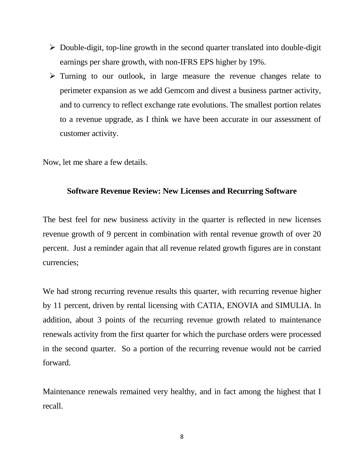- $\triangleright$  Double-digit, top-line growth in the second quarter translated into double-digit earnings per share growth, with non-IFRS EPS higher by 19%.
- $\triangleright$  Turning to our outlook, in large measure the revenue changes relate to perimeter expansion as we add Gemcom and divest a business partner activity, and to currency to reflect exchange rate evolutions. The smallest portion relates to a revenue upgrade, as I think we have been accurate in our assessment of customer activity.

Now, let me share a few details.

#### **Software Revenue Review: New Licenses and Recurring Software**

The best feel for new business activity in the quarter is reflected in new licenses revenue growth of 9 percent in combination with rental revenue growth of over 20 percent. Just a reminder again that all revenue related growth figures are in constant currencies;

We had strong recurring revenue results this quarter, with recurring revenue higher by 11 percent, driven by rental licensing with CATIA, ENOVIA and SIMULIA. In addition, about 3 points of the recurring revenue growth related to maintenance renewals activity from the first quarter for which the purchase orders were processed in the second quarter. So a portion of the recurring revenue would not be carried forward.

Maintenance renewals remained very healthy, and in fact among the highest that I recall.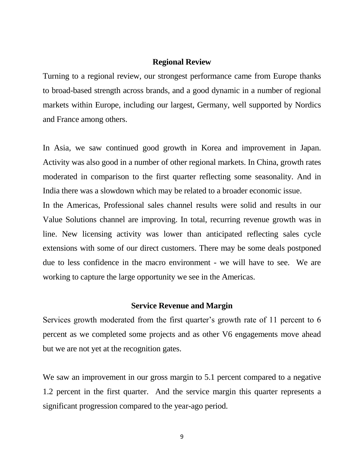#### **Regional Review**

Turning to a regional review, our strongest performance came from Europe thanks to broad-based strength across brands, and a good dynamic in a number of regional markets within Europe, including our largest, Germany, well supported by Nordics and France among others.

In Asia, we saw continued good growth in Korea and improvement in Japan. Activity was also good in a number of other regional markets. In China, growth rates moderated in comparison to the first quarter reflecting some seasonality. And in India there was a slowdown which may be related to a broader economic issue.

In the Americas, Professional sales channel results were solid and results in our Value Solutions channel are improving. In total, recurring revenue growth was in line. New licensing activity was lower than anticipated reflecting sales cycle extensions with some of our direct customers. There may be some deals postponed due to less confidence in the macro environment - we will have to see. We are working to capture the large opportunity we see in the Americas.

#### **Service Revenue and Margin**

Services growth moderated from the first quarter's growth rate of 11 percent to 6 percent as we completed some projects and as other V6 engagements move ahead but we are not yet at the recognition gates.

We saw an improvement in our gross margin to 5.1 percent compared to a negative 1.2 percent in the first quarter. And the service margin this quarter represents a significant progression compared to the year-ago period.

9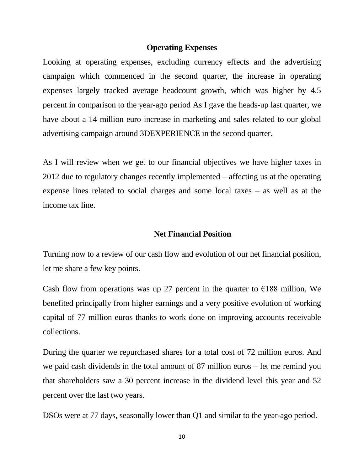#### **Operating Expenses**

Looking at operating expenses, excluding currency effects and the advertising campaign which commenced in the second quarter, the increase in operating expenses largely tracked average headcount growth, which was higher by 4.5 percent in comparison to the year-ago period As I gave the heads-up last quarter, we have about a 14 million euro increase in marketing and sales related to our global advertising campaign around 3DEXPERIENCE in the second quarter.

As I will review when we get to our financial objectives we have higher taxes in 2012 due to regulatory changes recently implemented – affecting us at the operating expense lines related to social charges and some local taxes – as well as at the income tax line.

## **Net Financial Position**

Turning now to a review of our cash flow and evolution of our net financial position, let me share a few key points.

Cash flow from operations was up 27 percent in the quarter to  $\epsilon$ 188 million. We benefited principally from higher earnings and a very positive evolution of working capital of 77 million euros thanks to work done on improving accounts receivable collections.

During the quarter we repurchased shares for a total cost of 72 million euros. And we paid cash dividends in the total amount of 87 million euros – let me remind you that shareholders saw a 30 percent increase in the dividend level this year and 52 percent over the last two years.

DSOs were at 77 days, seasonally lower than Q1 and similar to the year-ago period.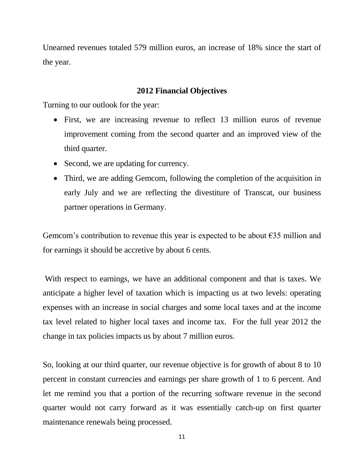Unearned revenues totaled 579 million euros, an increase of 18% since the start of the year.

## **2012 Financial Objectives**

Turning to our outlook for the year:

- First, we are increasing revenue to reflect 13 million euros of revenue improvement coming from the second quarter and an improved view of the third quarter.
- Second, we are updating for currency.
- Third, we are adding Gemcom, following the completion of the acquisition in early July and we are reflecting the divestiture of Transcat, our business partner operations in Germany.

Gemcom's contribution to revenue this year is expected to be about  $\epsilon$ 35 million and for earnings it should be accretive by about 6 cents.

With respect to earnings, we have an additional component and that is taxes. We anticipate a higher level of taxation which is impacting us at two levels: operating expenses with an increase in social charges and some local taxes and at the income tax level related to higher local taxes and income tax. For the full year 2012 the change in tax policies impacts us by about 7 million euros.

So, looking at our third quarter, our revenue objective is for growth of about 8 to 10 percent in constant currencies and earnings per share growth of 1 to 6 percent. And let me remind you that a portion of the recurring software revenue in the second quarter would not carry forward as it was essentially catch-up on first quarter maintenance renewals being processed.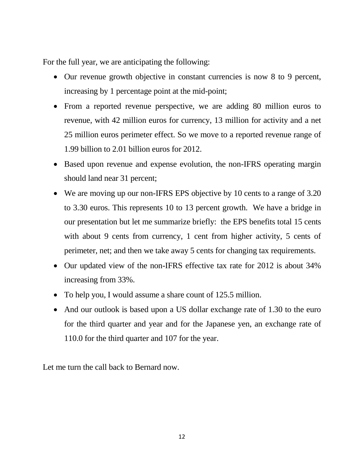For the full year, we are anticipating the following:

- Our revenue growth objective in constant currencies is now 8 to 9 percent, increasing by 1 percentage point at the mid-point;
- From a reported revenue perspective, we are adding 80 million euros to revenue, with 42 million euros for currency, 13 million for activity and a net 25 million euros perimeter effect. So we move to a reported revenue range of 1.99 billion to 2.01 billion euros for 2012.
- Based upon revenue and expense evolution, the non-IFRS operating margin should land near 31 percent;
- We are moving up our non-IFRS EPS objective by 10 cents to a range of 3.20 to 3.30 euros. This represents 10 to 13 percent growth. We have a bridge in our presentation but let me summarize briefly: the EPS benefits total 15 cents with about 9 cents from currency, 1 cent from higher activity, 5 cents of perimeter, net; and then we take away 5 cents for changing tax requirements.
- Our updated view of the non-IFRS effective tax rate for 2012 is about 34% increasing from 33%.
- To help you, I would assume a share count of 125.5 million.
- And our outlook is based upon a US dollar exchange rate of 1.30 to the euro for the third quarter and year and for the Japanese yen, an exchange rate of 110.0 for the third quarter and 107 for the year.

Let me turn the call back to Bernard now.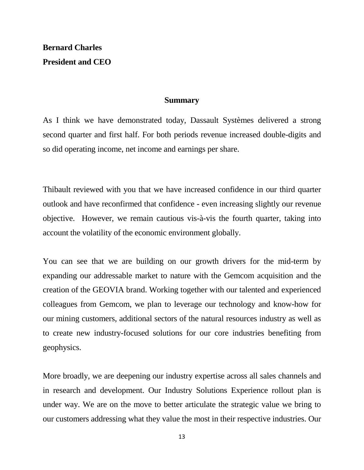# **Bernard Charles President and CEO**

#### **Summary**

As I think we have demonstrated today, Dassault Systèmes delivered a strong second quarter and first half. For both periods revenue increased double-digits and so did operating income, net income and earnings per share.

Thibault reviewed with you that we have increased confidence in our third quarter outlook and have reconfirmed that confidence - even increasing slightly our revenue objective. However, we remain cautious vis-à-vis the fourth quarter, taking into account the volatility of the economic environment globally.

You can see that we are building on our growth drivers for the mid-term by expanding our addressable market to nature with the Gemcom acquisition and the creation of the GEOVIA brand. Working together with our talented and experienced colleagues from Gemcom, we plan to leverage our technology and know-how for our mining customers, additional sectors of the natural resources industry as well as to create new industry-focused solutions for our core industries benefiting from geophysics.

More broadly, we are deepening our industry expertise across all sales channels and in research and development. Our Industry Solutions Experience rollout plan is under way. We are on the move to better articulate the strategic value we bring to our customers addressing what they value the most in their respective industries. Our